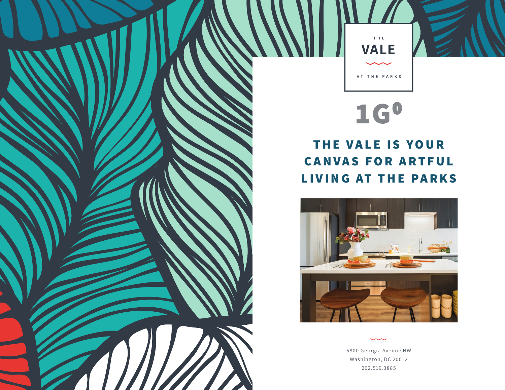

## **1G0**

## **THE VALE IS YOUR CANVAS FOR ARTFUL LIVING AT THE PARKS**



6800 Georgia Avenue NW Washington, DC 20012 202.519.3885